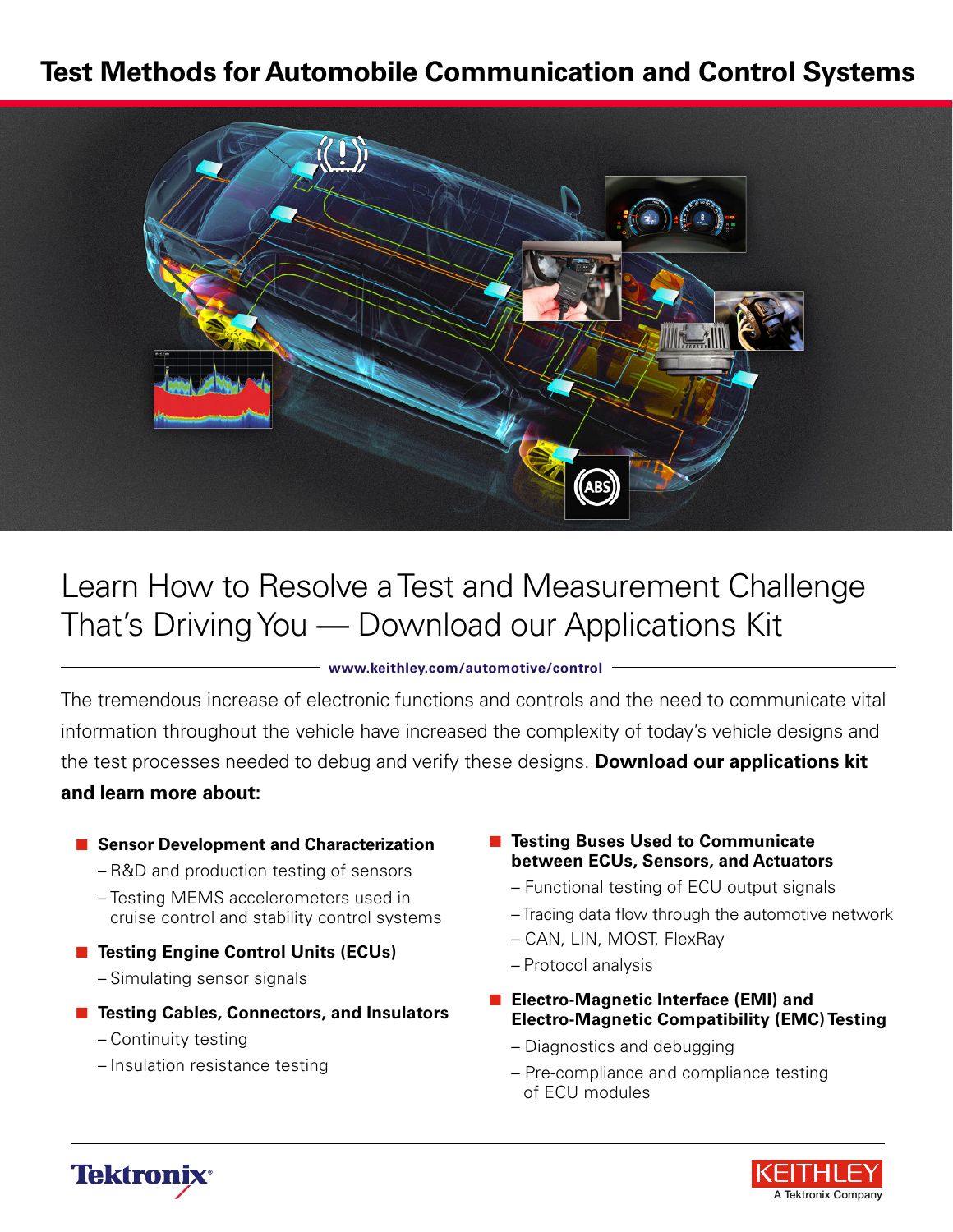# **Test Methods for Automobile Communication and Control Systems**



# Learn How to Resolve a Test and Measurement Challenge That's Driving You — Download our Applications Kit

#### **<www.keithley.com/automotive/control>**

The tremendous increase of electronic functions and controls and the need to communicate vital information throughout the vehicle have increased the complexity of today's vehicle designs and the test processes needed to debug and verify these designs. **Download our applications kit and learn more about:**

#### **■ Sensor Development and Characterization**

- R&D and production testing of sensors
- Testing MEMS accelerometers used in cruise control and stability control systems
- Testing Engine Control Units (ECUs)
	- Simulating sensor signals
- **Testing Cables, Connectors, and Insulators** 
	- Continuity testing
	- Insulation resistance testing
- **Testing Buses Used to Communicate between ECUs, Sensors, and Actuators**
	- Functional testing of ECU output signals
	- Tracing data flow through the automotive network
	- CAN, LIN, MOST, FlexRay
	- Protocol analysis
- Electro-Magnetic Interface (EMI) and **Electro-Magnetic Compatibility (EMC) Testing**
	- Diagnostics and debugging
	- Pre-compliance and compliance testing of ECU modules